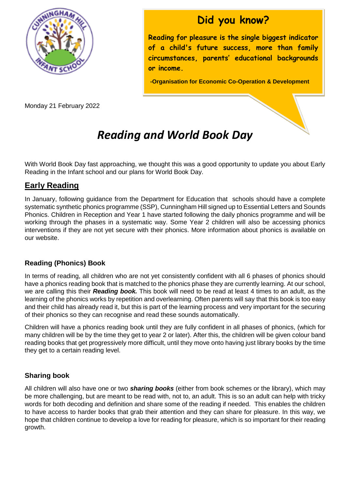

Monday 21 February 2022

### **Did you know?**

**Reading for pleasure is the single biggest indicator of a child's future success, more than family circumstances, parents' educational backgrounds or income.**

**-Organisation for Economic Co-Operation & Development**

## *Reading and World Book Day*

With World Book Day fast approaching, we thought this was a good opportunity to update you about Early Reading in the Infant school and our plans for World Book Day.

#### **Early Reading**

In January, following guidance from the Department for Education that schools should have a complete systematic synthetic phonics programme (SSP), Cunningham Hill signed up to Essential Letters and Sounds Phonics. Children in Reception and Year 1 have started following the daily phonics programme and will be working through the phases in a systematic way. Some Year 2 children will also be accessing phonics interventions if they are not yet secure with their phonics. More information about phonics is available on our website.

#### **Reading (Phonics) Book**

In terms of reading, all children who are not yet consistently confident with all 6 phases of phonics should have a phonics reading book that is matched to the phonics phase they are currently learning. At our school, we are calling this their *Reading book.* This book will need to be read at least 4 times to an adult, as the learning of the phonics works by repetition and overlearning. Often parents will say that this book is too easy and their child has already read it, but this is part of the learning process and very important for the securing of their phonics so they can recognise and read these sounds automatically.

Children will have a phonics reading book until they are fully confident in all phases of phonics, (which for many children will be by the time they get to year 2 or later). After this, the children will be given colour band reading books that get progressively more difficult, until they move onto having just library books by the time they get to a certain reading level.

#### **Sharing book**

All children will also have one or two *sharing books* (either from book schemes or the library), which may be more challenging, but are meant to be read with, not to, an adult. This is so an adult can help with tricky words for both decoding and definition and share some of the reading if needed. This enables the children to have access to harder books that grab their attention and they can share for pleasure. In this way, we hope that children continue to develop a love for reading for pleasure, which is so important for their reading growth.